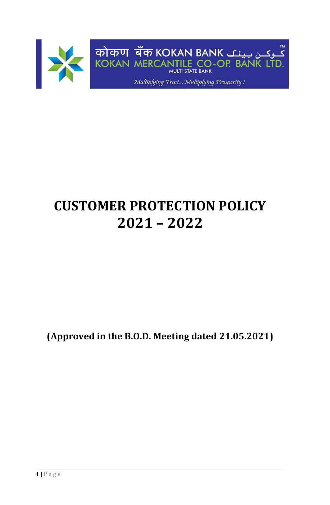

# **CUSTOMER PROTECTION POLICY 2021 – 2022**

**(Approved in the B.O.D. Meeting dated 21.05.2021)**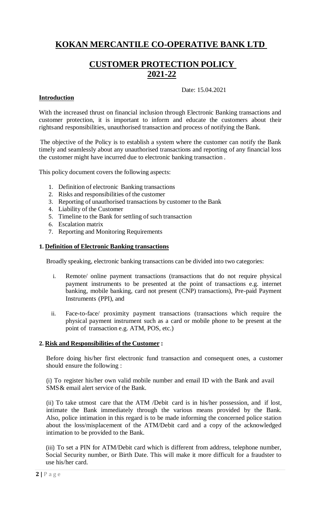# **KOKAN MERCANTILE CO-OPERATIVE BANK LTD**

# **CUSTOMER PROTECTION POLICY 2021-22**

#### Date: 15.04.2021

## **Introduction**

With the increased thrust on financial inclusion through Electronic Banking transactions and customer protection, it is important to inform and educate the customers about their rightsand responsibilities, unauthorised transaction and process of notifying the Bank.

The objective of the Policy is to establish a system where the customer can notify the Bank timely and seamlessly about any unauthorised transactions and reporting of any financial loss the customer might have incurred due to electronic banking transaction .

This policy document covers the following aspects:

- 1. Definition of electronic Banking transactions
- 2. Risks and responsibilities of the customer
- 3. Reporting of unauthorised transactions by customer to the Bank
- 4. Liability of the Customer
- 5. Timeline to the Bank for settling of such transaction
- 6. Escalation matrix
- 7. Reporting and Monitoring Requirements

#### **1. Definition of Electronic Banking transactions**

Broadly speaking, electronic banking transactions can be divided into two categories:

- i. Remote/ online payment transactions (transactions that do not require physical payment instruments to be presented at the point of transactions e.g. internet banking, mobile banking, card not present (CNP) transactions), Pre-paid Payment Instruments (PPI), and
- ii. Face-to-face/ proximity payment transactions (transactions which require the physical payment instrument such as a card or mobile phone to be present at the point of transaction e.g. ATM, POS, etc.)

#### **2. Risk and Responsibilities of the Customer :**

Before doing his/her first electronic fund transaction and consequent ones, a customer should ensure the following :

(i) To register his/her own valid mobile number and email ID with the Bank and avail SMS& email alert service of the Bank.

(ii) To take utmost care that the ATM /Debit card is in his/her possession, and if lost, intimate the Bank immediately through the various means provided by the Bank. Also, police intimation in this regard is to be made informing the concerned police station about the loss/misplacement of the ATM/Debit card and a copy of the acknowledged intimation to be provided to the Bank.

(iii) To set a PIN for ATM/Debit card which is different from address, telephone number, Social Security number, or Birth Date. This will make it more difficult for a fraudster to use his/her card.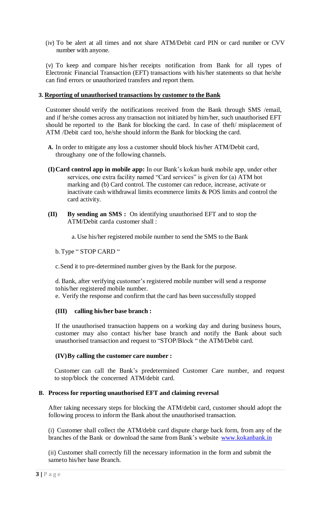(iv) To be alert at all times and not share ATM/Debit card PIN or card number or CVV number with anyone.

(v) To keep and compare his/her receipts notification from Bank for all types of Electronic Financial Transaction (EFT) transactions with his/her statements so that he/she can find errors or unauthorized transfers and report them.

#### **3. Reporting of unauthorised transactions by customer to the Bank**

Customer should verify the notifications received from the Bank through SMS /email, and if he/she comes across any transaction not initiated by him/her, such unauthorised EFT should be reported to the Bank for blocking the card. In case of theft/ misplacement of ATM /Debit card too, he/she should inform the Bank for blocking the card.

- **A.** In order to mitigate any loss a customer should block his/her ATM/Debit card, throughany one of the following channels.
- **(I)Card control app in mobile app:** In our Bank's kokan bank mobile app, under other services, one extra facility named "Card services" is given for (a) ATM hot marking and (b) Card control. The customer can reduce, increase, activate or inactivate cash withdrawal limits ecommerce limits & POS limits and control the card activity.
- **(II) By sending an SMS :** On identifying unauthorised EFT and to stop the ATM/Debit carda customer shall :
	- a. Use his/her registered mobile number to send the SMS to the Bank

b.Type " STOP CARD "

c.Send it to pre-determined number given by the Bank for the purpose.

d. Bank, after verifying customer's registered mobile number will send a response tohis/her registered mobile number.

e. Verify the response and confirm that the card has been successfully stopped

#### **(III) calling his/her base branch :**

If the unauthorised transaction happens on a working day and during business hours, customer may also contact his/her base branch and notify the Bank about such unauthorised transaction and request to "STOP/Block " the ATM/Debit card.

#### **(IV)By calling the customer care number :**

Customer can call the Bank's predetermined Customer Care number, and request to stop/block the concerned ATM/debit card.

#### **B. Process for reporting unauthorised EFT and claiming reversal**

After taking necessary steps for blocking the ATM/debit card, customer should adopt the following process to inform the Bank about the unauthorised transaction.

(i) Customer shall collect the ATM/debit card dispute charge back form, from any of the branches of the Bank or download the same from Bank's website [www.kokanbank.in](http://www.kokanbank.in/)

(ii) Customer shall correctly fill the necessary information in the form and submit the sameto his/her base Branch.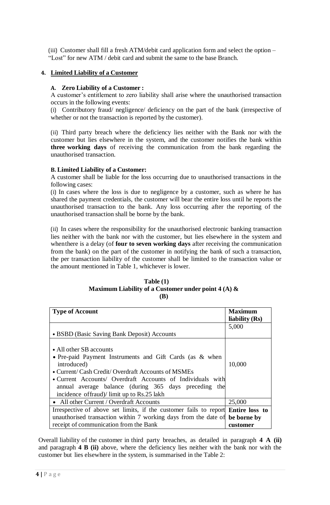(iii) Customer shall fill a fresh ATM/debit card application form and select the option – "Lost" for new ATM / debit card and submit the same to the base Branch.

## **4. Limited Liability of a Customer**

#### **A. Zero Liability of a Customer :**

A customer's entitlement to zero liability shall arise where the unauthorised transaction occurs in the following events:

(i) Contributory fraud/ negligence/ deficiency on the part of the bank (irrespective of whether or not the transaction is reported by the customer).

(ii) Third party breach where the deficiency lies neither with the Bank nor with the customer but lies elsewhere in the system, and the customer notifies the bank within **three working days** of receiving the communication from the bank regarding the unauthorised transaction.

#### **B. Limited Liability of a Customer:**

A customer shall be liable for the loss occurring due to unauthorised transactions in the following cases:

(i) In cases where the loss is due to negligence by a customer, such as where he has shared the payment credentials, the customer will bear the entire loss until he reports the unauthorised transaction to the bank. Any loss occurring after the reporting of the unauthorised transaction shall be borne by the bank.

(ii) In cases where the responsibility for the unauthorised electronic banking transaction lies neither with the bank nor with the customer, but lies elsewhere in the system and whenthere is a delay (of **four to seven working days** after receiving the communication from the bank) on the part of the customer in notifying the bank of such a transaction, the per transaction liability of the customer shall be limited to the transaction value or the amount mentioned in Table 1, whichever is lower.

#### **Table (1) Maximum Liability of a Customer under point 4 (A) & (B)**

| <b>Type of Account</b>                                                                                                                                                                                                                                                                                                          | Maximum<br>liability $(Rs)$ |
|---------------------------------------------------------------------------------------------------------------------------------------------------------------------------------------------------------------------------------------------------------------------------------------------------------------------------------|-----------------------------|
|                                                                                                                                                                                                                                                                                                                                 | 5,000                       |
| • BSBD (Basic Saving Bank Deposit) Accounts                                                                                                                                                                                                                                                                                     |                             |
| • All other SB accounts<br>• Pre-paid Payment Instruments and Gift Cards (as & when<br>introduced)<br>• Current/ Cash Credit/ Overdraft Accounts of MSMEs<br>• Current Accounts/ Overdraft Accounts of Individuals with<br>annual average balance (during 365 days preceding the<br>incidence of fraud)/ limit up to Rs.25 lakh | 10,000                      |
| • All other Current / Overdraft Accounts                                                                                                                                                                                                                                                                                        | 25,000                      |
| Irrespective of above set limits, if the customer fails to report <b>Entire loss to</b>                                                                                                                                                                                                                                         |                             |
| unauthorised transaction within 7 working days from the date of                                                                                                                                                                                                                                                                 | be borne by                 |
| receipt of communication from the Bank                                                                                                                                                                                                                                                                                          | customer                    |

Overall liability of the customer in third party breaches, as detailed in paragraph **4 A (ii)** and paragraph **4 B (ii)** above, where the deficiency lies neither with the bank nor with the customer but lies elsewhere in the system, is summarised in the Table 2: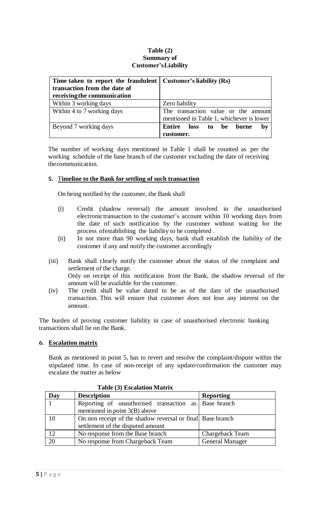#### **Table (2) Summary of Customer'sLiability**

| Time taken to report the fraudulent $\vert$ Customer's liability (Rs) |                                          |
|-----------------------------------------------------------------------|------------------------------------------|
| transaction from the date of                                          |                                          |
| receiving the communication                                           |                                          |
| Within 3 working days                                                 | Zero liability                           |
| Within 4 to 7 working days                                            | The transaction value or the amount      |
|                                                                       | mentioned in Table 1, whichever is lower |
| Beyond 7 working days                                                 | Entire<br>loss to be borne<br>bv         |
|                                                                       | customer.                                |

The number of working days mentioned in Table 1 shall be counted as per the working schedule of the base branch of the customer excluding the date of receiving thecommunication.

#### **5.** T**imeline to the Bank for settling of such transaction**

On being notified by the customer, the Bank shall

- (i) Credit (shadow reversal) the amount involved in the unauthorised electronictransaction to the customer's account within 10 working days from the date of such notification by the customer without waiting for the process ofestablishing the liability to be completed .
- (ii) In not more than 90 working days, bank shall establish the liability of the customer if any and notify the customer accordingly
- (iii) Bank shall clearly notify the customer about the status of the complaint and settlement of the charge. Only on receipt of this notification from the Bank, the shadow reversal of the amount will be available for the customer.
- (iv) The credit shall be value dated to be as of the date of the unauthorised transaction. This will ensure that customer does not lose any interest on the amount.

The burden of proving customer liability in case of unauthorised electronic banking transactions shall lie on the Bank.

#### **6. Escalation matrix**

Bank as mentioned in point 5, has to revert and resolve the complaint/dispute within the stipulated time. In case of non-receipt of any update/confirmation the customer may escalate the matter as below

| Day | <b>Description</b>                                                                              | <b>Reporting</b>       |  |
|-----|-------------------------------------------------------------------------------------------------|------------------------|--|
|     | Reporting of unauthorised transaction as Base branch<br>mentioned in point $3(B)$ above         |                        |  |
| 10  | On non receipt of the shadow reversal or final Base branch<br>settlement of the disputed amount |                        |  |
| 12  | No response from the Base branch                                                                | Chargeback Team        |  |
| 20  | No response from Chargeback Team                                                                | <b>General Manager</b> |  |

#### **Table (3) Escalation Matrix**